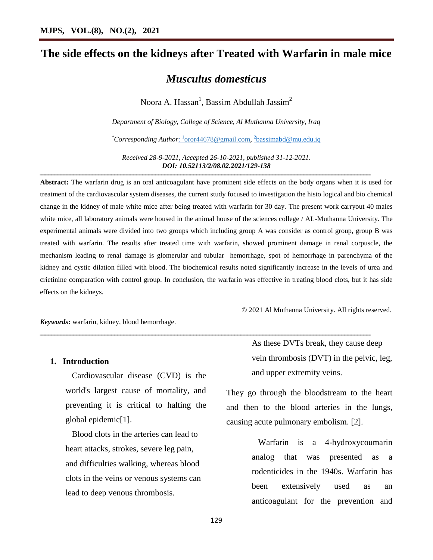# **The side effects on the kidneys after Treated with Warfarin in male mice**

## *Musculus domesticus*

Noora A. Hassan $^1$ , Bassim Abdullah Jassim $^2$ 

*Department of Biology, College of Science, Al Muthanna University, Iraq*

\*Corresponding Author:  $\frac{1}{2}$  oror44678@gmail.com,  $\frac{2}{2}$  [bassimabd@mu.edu.iq](mailto:2bassimabd@mu.edu.iq)

*Received 28-9-2021, Accepted 26-10-2021, published 31-12-2021*. *DOI: 10.52113/2/08.02.2021/129-138*

ــــــــــــــــــــــــــــــــــــــــــــــــــــــــــــــــــــــــــــــــــــــــــــــــــــــــــــــــــــــــــــــــــــــــــــــــــــــــــــــــــــــــــــــــــــــــــــــــــــــــــــــــــــــــــــــــــ

**Abstract:** The warfarin drug is an oral anticoagulant have prominent side effects on the body organs when it is used for treatment of the cardiovascular system diseases, the current study focused to investigation the histo logical and bio chemical change in the kidney of male white mice after being treated with warfarin for 30 day. The present work carryout 40 males white mice, all laboratory animals were housed in the animal house of the sciences college / AL-Muthanna University. The experimental animals were divided into two groups which including group A was consider as control group, group B was treated with warfarin. The results after treated time with warfarin, showed prominent damage in renal corpuscle, the mechanism leading to renal damage is glomerular and tubular hemorrhage, spot of hemorrhage in parenchyma of the kidney and cystic dilation filled with blood. The biochemical results noted significantly increase in the levels of urea and crietinine comparation with control group. In conclusion, the warfarin was effective in treating blood clots, but it has side effects on the kidneys.

ــــــــــــــــــــــــــــــــــــــــــــــــــــــــــــــــــــــــــــــــــــــــــــــــــــــــــــــــــــــــــــــــــــــــــــــــــــــــــــــــــــــــــــــــــــــــــــــــــــــــــــــــــــــــــــــــــ

*Keywords***:** warfarin, kidney, blood hemorrhage.

#### **1. Introduction**

 Cardiovascular disease (CVD) is the world's largest cause of mortality, and preventing it is critical to halting the global epidemic[1].

 Blood clots in the arteries can lead to heart attacks, strokes, severe leg pain, and difficulties walking, whereas blood clots in the veins or venous systems can lead to deep venous thrombosis.

As these DVTs break, they cause deep vein thrombosis (DVT) in the pelvic, leg, and upper extremity veins.

© 2021 Al Muthanna University. All rights reserved.

They go through the bloodstream to the heart and then to the blood arteries in the lungs, causing acute pulmonary embolism. [2].

> Warfarin is a 4-hydroxycoumarin analog that was presented as a rodenticides in the 1940s. Warfarin has been extensively used as an anticoagulant for the prevention and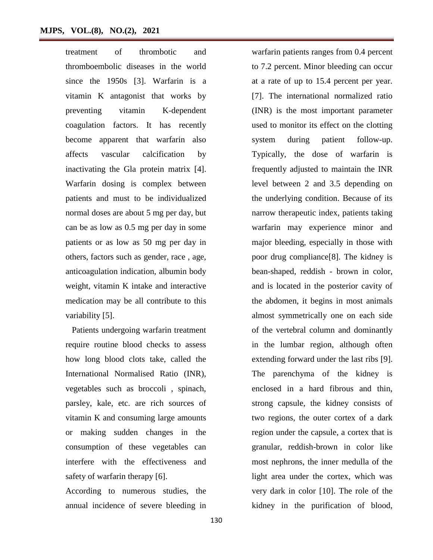treatment of thrombotic and thromboembolic diseases in the world since the 1950s [3]. Warfarin is a vitamin K antagonist that works by preventing vitamin K-dependent coagulation factors. It has recently become apparent that warfarin also affects vascular calcification by inactivating the Gla protein matrix [4]. Warfarin dosing is complex between patients and must to be individualized normal doses are about 5 mg per day, but can be as low as 0.5 mg per day in some patients or as low as 50 mg per day in others, factors such as gender, race , age, anticoagulation indication, albumin body weight, vitamin K intake and interactive medication may be all contribute to this variability [5].

 Patients undergoing warfarin treatment require routine blood checks to assess how long blood clots take, called the International Normalised Ratio (INR), vegetables such as broccoli , spinach, parsley, kale, etc. are rich sources of vitamin K and consuming large amounts or making sudden changes in the consumption of these vegetables can interfere with the effectiveness and safety of warfarin therapy [6].

According to numerous studies, the annual incidence of severe bleeding in

warfarin patients ranges from 0.4 percent to 7.2 percent. Minor bleeding can occur at a rate of up to 15.4 percent per year. [7]. The international normalized ratio (INR) is the most important parameter used to monitor its effect on the clotting system during patient follow-up. Typically, the dose of warfarin is frequently adjusted to maintain the INR level between 2 and 3.5 depending on the underlying condition. Because of its narrow therapeutic index, patients taking warfarin may experience minor and major bleeding, especially in those with poor drug compliance[8]. The kidney is bean-shaped, reddish - brown in color, and is located in the posterior cavity of the abdomen, it begins in most animals almost symmetrically one on each side of the vertebral column and dominantly in the lumbar region, although often extending forward under the last ribs [9]. The parenchyma of the kidney is enclosed in a hard fibrous and thin, strong capsule, the kidney consists of two regions, the outer cortex of a dark region under the capsule, a cortex that is granular, reddish-brown in color like most nephrons, the inner medulla of the light area under the cortex, which was very dark in color [10]. The role of the kidney in the purification of blood,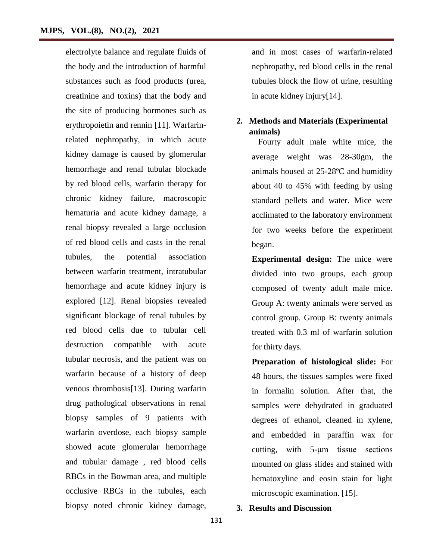electrolyte balance and regulate fluids of the body and the introduction of harmful substances such as food products (urea, creatinine and toxins) that the body and the site of producing hormones such as erythropoietin and rennin [11]. Warfarinrelated nephropathy, in which acute kidney damage is caused by glomerular hemorrhage and renal tubular blockade by red blood cells, warfarin therapy for chronic kidney failure, macroscopic hematuria and acute kidney damage, a renal biopsy revealed a large occlusion of red blood cells and casts in the renal tubules, the potential association between warfarin treatment, intratubular hemorrhage and acute kidney injury is explored [12]. Renal biopsies revealed significant blockage of renal tubules by red blood cells due to tubular cell destruction compatible with acute tubular necrosis, and the patient was on warfarin because of a history of deep venous thrombosis[13]. During warfarin drug pathological observations in renal biopsy samples of 9 patients with warfarin overdose, each biopsy sample showed acute glomerular hemorrhage and tubular damage , red blood cells RBCs in the Bowman area, and multiple occlusive RBCs in the tubules, each biopsy noted chronic kidney damage,

and in most cases of warfarin-related nephropathy, red blood cells in the renal tubules block the flow of urine, resulting in acute kidney injury[14].

### **2. Methods and Materials (Experimental animals)**

 Fourty adult male white mice, the average weight was 28-30gm, the animals housed at 25-28ºC and humidity about 40 to 45% with feeding by using standard pellets and water. Mice were acclimated to the laboratory environment for two weeks before the experiment began.

**Experimental design:** The mice were divided into two groups, each group composed of twenty adult male mice. Group A: twenty animals were served as control group. Group B: twenty animals treated with 0.3 ml of warfarin solution for thirty days.

**Preparation of histological slide:** For 48 hours, the tissues samples were fixed in formalin solution. After that, the samples were dehydrated in graduated degrees of ethanol, cleaned in xylene, and embedded in paraffin wax for cutting, with 5-μm tissue sections mounted on glass slides and stained with hematoxyline and eosin stain for light microscopic examination. [15].

#### **3. Results and Discussion**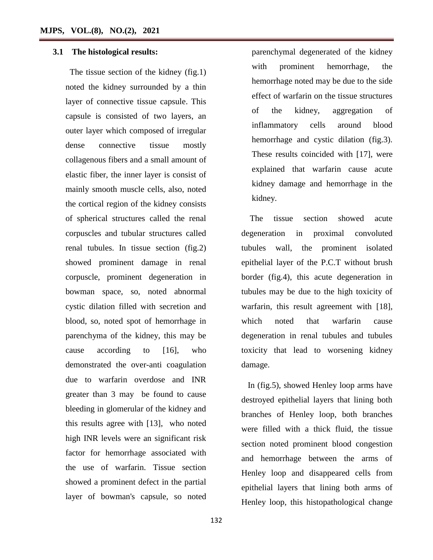#### **3.1 The histological results:**

The tissue section of the kidney (fig.1) noted the kidney surrounded by a thin layer of connective tissue capsule. This capsule is consisted of two layers, an outer layer which composed of irregular dense connective tissue mostly collagenous fibers and a small amount of elastic fiber, the inner layer is consist of mainly smooth muscle cells, also, noted the cortical region of the kidney consists of spherical structures called the renal corpuscles and tubular structures called renal tubules. In tissue section (fig.2) showed prominent damage in renal corpuscle, prominent degeneration in bowman space, so, noted abnormal cystic dilation filled with secretion and blood, so, noted spot of hemorrhage in parenchyma of the kidney, this may be cause according to [16], who demonstrated the over-anti coagulation due to warfarin overdose and INR greater than 3 may be found to cause bleeding in glomerular of the kidney and this results agree with [13], who noted high INR levels were an significant risk factor for hemorrhage associated with the use of warfarin. Tissue section showed a prominent defect in the partial layer of bowman's capsule, so noted

parenchymal degenerated of the kidney with prominent hemorrhage, the hemorrhage noted may be due to the side effect of warfarin on the tissue structures of the kidney, aggregation of inflammatory cells around blood hemorrhage and cystic dilation (fig.3). These results coincided with [17], were explained that warfarin cause acute kidney damage and hemorrhage in the kidney.

 The tissue section showed acute degeneration in proximal convoluted tubules wall, the prominent isolated epithelial layer of the P.C.T without brush border (fig.4), this acute degeneration in tubules may be due to the high toxicity of warfarin, this result agreement with [18], which noted that warfarin cause degeneration in renal tubules and tubules toxicity that lead to worsening kidney damage.

 In (fig.5), showed Henley loop arms have destroyed epithelial layers that lining both branches of Henley loop, both branches were filled with a thick fluid, the tissue section noted prominent blood congestion and hemorrhage between the arms of Henley loop and disappeared cells from epithelial layers that lining both arms of Henley loop, this histopathological change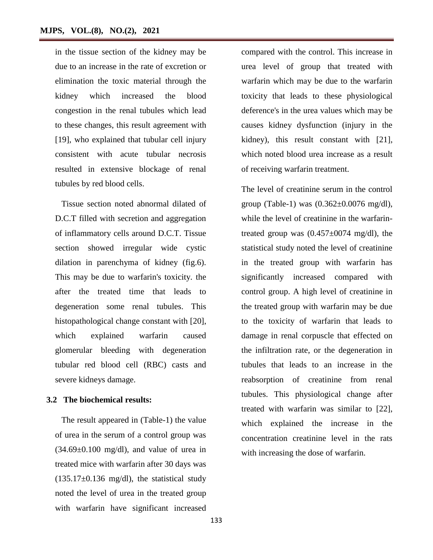in the tissue section of the kidney may be due to an increase in the rate of excretion or elimination the toxic material through the kidney which increased the blood congestion in the renal tubules which lead to these changes, this result agreement with [19], who explained that tubular cell injury consistent with acute tubular necrosis resulted in extensive blockage of renal tubules by red blood cells.

 Tissue section noted abnormal dilated of D.C.T filled with secretion and aggregation of inflammatory cells around D.C.T. Tissue section showed irregular wide cystic dilation in parenchyma of kidney (fig.6). This may be due to warfarin's toxicity. the after the treated time that leads to degeneration some renal tubules. This histopathological change constant with [20], which explained warfarin caused glomerular bleeding with degeneration tubular red blood cell (RBC) casts and severe kidneys damage.

#### **3.2 The biochemical results:**

 The result appeared in (Table-1) the value of urea in the serum of a control group was  $(34.69\pm0.100 \text{ mg/dl})$ , and value of urea in treated mice with warfarin after 30 days was  $(135.17\pm0.136 \text{ mg/dl})$ , the statistical study noted the level of urea in the treated group with warfarin have significant increased

compared with the control. This increase in urea level of group that treated with warfarin which may be due to the warfarin toxicity that leads to these physiological deference's in the urea values which may be causes kidney dysfunction (injury in the kidney), this result constant with [21], which noted blood urea increase as a result of receiving warfarin treatment.

The level of creatinine serum in the control group (Table-1) was  $(0.362 \pm 0.0076 \text{ mg/dl})$ , while the level of creatinine in the warfarintreated group was  $(0.457 \pm 0074 \text{ mg/dl})$ , the statistical study noted the level of creatinine in the treated group with warfarin has significantly increased compared with control group. A high level of creatinine in the treated group with warfarin may be due to the toxicity of warfarin that leads to damage in renal corpuscle that effected on the infiltration rate, or the degeneration in tubules that leads to an increase in the reabsorption of creatinine from renal tubules. This physiological change after treated with warfarin was similar to [22], which explained the increase in the concentration creatinine level in the rats with increasing the dose of warfarin.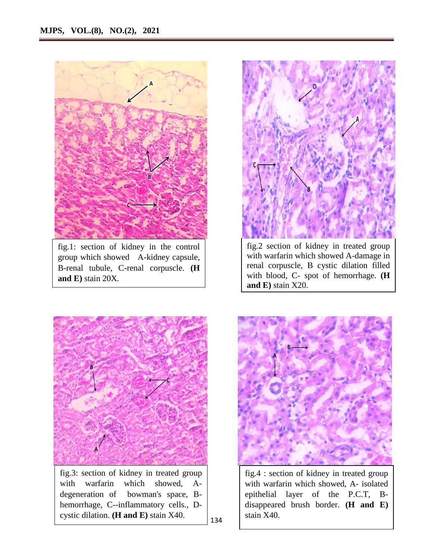

fig.1: section of kidney in the control group which showed A-kidney capsule, B-renal tubule, C-renal corpuscle. **(H and E)** stain 20X.



fig.2 section of kidney in treated group with warfarin which showed A-damage in renal corpuscle, B cystic dilation filled with blood, C- spot of hemorrhage. **(H and E)** stain X20.



fig.3: section of kidney in treated group with warfarin which showed, Adegeneration of bowman's space, Bhemorrhage, C--inflammatory cells., Dcystic dilation. **(H and E)** stain X40.



fig.4 : section of kidney in treated group with warfarin which showed, A- isolated epithelial layer of the P.C.T, Bdisappeared brush border. **(H and E)** stain X40.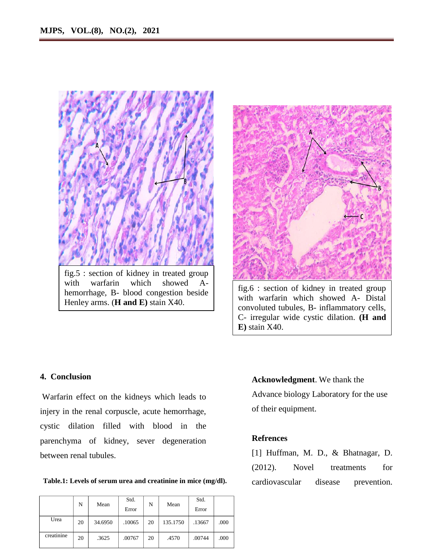

with warfarin which showed Ahemorrhage, B- blood congestion beside Henley arms. (**H and E)** stain X40.



fig.6 : section of kidney in treated group with warfarin which showed A- Distal convoluted tubules, B- inflammatory cells, C- irregular wide cystic dilation. **(H and E)** stain X40.

### **4. Conclusion**

Warfarin effect on the kidneys which leads to injery in the renal corpuscle, acute hemorrhage, cystic dilation filled with blood in the parenchyma of kidney, sever degeneration between renal tubules.

Table.1: Levels of serum urea and creatinine in mice (mg/dl). cardiovascular disease prevention.

|            | N  | Mean    | Std.   | N  | Mean     | Std.   |      |
|------------|----|---------|--------|----|----------|--------|------|
|            |    |         | Error  |    |          | Error  |      |
| Urea       | 20 | 34.6950 | .10065 | 20 | 135.1750 | .13667 | .000 |
| creatinine | 20 | .3625   | .00767 | 20 | .4570    | .00744 | .000 |

# **Acknowledgment**. We thank the

Advance biology Laboratory for the use of their equipment.

#### **Refrences**

[1] Huffman, M. D., & Bhatnagar, D. (2012). Novel treatments for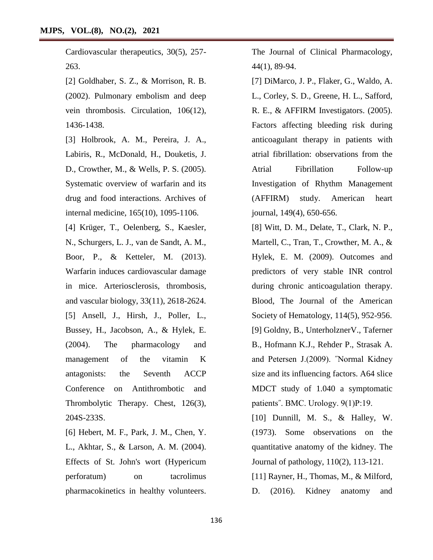Cardiovascular therapeutics, 30(5), 257- 263.

[2] Goldhaber, S. Z., & Morrison, R. B. (2002). Pulmonary embolism and deep vein thrombosis. Circulation, 106(12), 1436-1438.

[3] Holbrook, A. M., Pereira, J. A., Labiris, R., McDonald, H., Douketis, J. D., Crowther, M., & Wells, P. S. (2005). Systematic overview of warfarin and its drug and food interactions. Archives of internal medicine, 165(10), 1095-1106.

[4] Krüger, T., Oelenberg, S., Kaesler, N., Schurgers, L. J., van de Sandt, A. M., Boor, P., & Ketteler, M. (2013). Warfarin induces cardiovascular damage in mice. Arteriosclerosis, thrombosis, and vascular biology, 33(11), 2618-2624. [5] Ansell, J., Hirsh, J., Poller, L., Bussey, H., Jacobson, A., & Hylek, E. (2004). The pharmacology and management of the vitamin K antagonists: the Seventh ACCP Conference on Antithrombotic and Thrombolytic Therapy. Chest, 126(3), 204S-233S.

[6] Hebert, M. F., Park, J. M., Chen, Y. L., Akhtar, S., & Larson, A. M. (2004). Effects of St. John's wort (Hypericum perforatum) on tacrolimus pharmacokinetics in healthy volunteers. The Journal of Clinical Pharmacology, 44(1), 89-94.

[7] DiMarco, J. P., Flaker, G., Waldo, A. L., Corley, S. D., Greene, H. L., Safford, R. E., & AFFIRM Investigators. (2005). Factors affecting bleeding risk during anticoagulant therapy in patients with atrial fibrillation: observations from the Atrial Fibrillation Follow-up Investigation of Rhythm Management (AFFIRM) study. American heart journal, 149(4), 650-656.

[8] Witt, D. M., Delate, T., Clark, N. P., Martell, C., Tran, T., Crowther, M. A., & Hylek, E. M. (2009). Outcomes and predictors of very stable INR control during chronic anticoagulation therapy. Blood, The Journal of the American Society of Hematology, 114(5), 952-956. [9] Goldny, B., UnterholznerV., Taferner B., Hofmann K.J., Rehder P., Strasak A. and Petersen J.(2009). ˝Normal Kidney size and its influencing factors. A64 slice MDCT study of 1.040 a symptomatic patients˝. BMC. Urology. 9(1)P:19.

[10] Dunnill, M. S., & Halley, W. (1973). Some observations on the quantitative anatomy of the kidney. The Journal of pathology, 110(2), 113-121.

[11] Rayner, H., Thomas, M., & Milford, D. (2016). Kidney anatomy and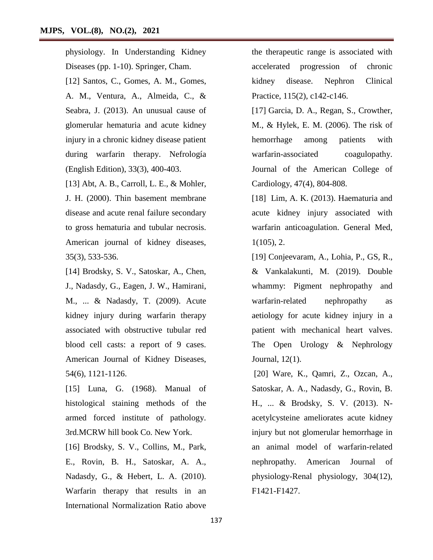physiology. In Understanding Kidney Diseases (pp. 1-10). Springer, Cham. [12] Santos, C., Gomes, A. M., Gomes, A. M., Ventura, A., Almeida, C., & Seabra, J. (2013). An unusual cause of glomerular hematuria and acute kidney injury in a chronic kidney disease patient during warfarin therapy. Nefrología (English Edition), 33(3), 400-403.

[13] Abt, A. B., Carroll, L. E., & Mohler, J. H. (2000). Thin basement membrane disease and acute renal failure secondary to gross hematuria and tubular necrosis. American journal of kidney diseases, 35(3), 533-536.

[14] Brodsky, S. V., Satoskar, A., Chen, J., Nadasdy, G., Eagen, J. W., Hamirani, M., ... & Nadasdy, T. (2009). Acute kidney injury during warfarin therapy associated with obstructive tubular red blood cell casts: a report of 9 cases. American Journal of Kidney Diseases, 54(6), 1121-1126.

[15] Luna, G. (1968). Manual of histological staining methods of the armed forced institute of pathology. 3rd.MCRW hill book Co. New York.

[16] Brodsky, S. V., Collins, M., Park, E., Rovin, B. H., Satoskar, A. A., Nadasdy, G., & Hebert, L. A. (2010). Warfarin therapy that results in an International Normalization Ratio above

the therapeutic range is associated with accelerated progression of chronic kidney disease. Nephron Clinical Practice, 115(2), c142-c146.

[17] Garcia, D. A., Regan, S., Crowther, M., & Hylek, E. M. (2006). The risk of hemorrhage among patients with warfarin-associated coagulopathy. Journal of the American College of Cardiology, 47(4), 804-808.

[18] Lim, A. K. (2013). Haematuria and acute kidney injury associated with warfarin anticoagulation. General Med, 1(105), 2.

[19] Conjeevaram, A., Lohia, P., GS, R., & Vankalakunti, M. (2019). Double whammy: Pigment nephropathy and warfarin-related nephropathy as aetiology for acute kidney injury in a patient with mechanical heart valves. The Open Urology & Nephrology Journal, 12(1).

[20] Ware, K., Qamri, Z., Ozcan, A., Satoskar, A. A., Nadasdy, G., Rovin, B. H., ... & Brodsky, S. V. (2013). Nacetylcysteine ameliorates acute kidney injury but not glomerular hemorrhage in an animal model of warfarin-related nephropathy. American Journal of physiology-Renal physiology, 304(12), F1421-F1427.